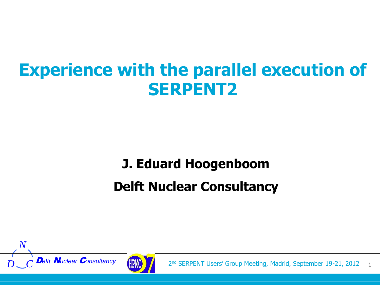#### **Experience with the parallel execution of SERPENT2**

#### **J. Eduard Hoogenboom Delft Nuclear Consultancy**





**Delft Nuclear Consultancy** (FRM) 2<sup>nd</sup> SERPENT Users' Group Meeting, Madrid, September 19-21, 2012 1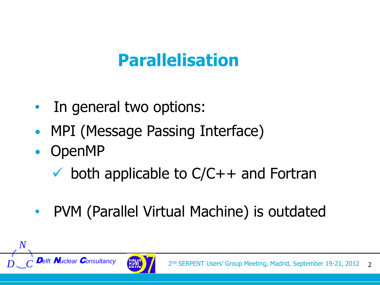## **Parallelisation**

- In general two options:
- MPI (Message Passing Interface)
- OpenMP

*D C*

- $\checkmark$  both applicable to  $C/C++$  and Fortran
- PVM (Parallel Virtual Machine) is outdated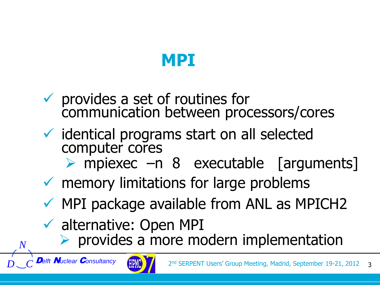## **MPI**

- $\checkmark$  provides a set of routines for communication between processors/cores
- $\checkmark$  identical programs start on all selected computer cores
	- mpiexec –n 8 executable [arguments]
- $\checkmark$  memory limitations for large problems
- $\checkmark$  MPI package available from ANL as MPICH2
- $\checkmark$  alternative: Open MPI
	- $\triangleright$  provides a more modern implementation

*D C*

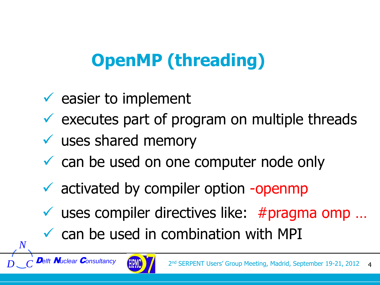# **OpenMP (threading)**

- $\checkmark$  easier to implement
- $\checkmark$  executes part of program on multiple threads
- $\checkmark$  uses shared memory
- $\checkmark$  can be used on one computer node only
- $\checkmark$  activated by compiler option -openmp
- $\checkmark$  uses compiler directives like: #pragma omp ...
- $\checkmark$  can be used in combination with MPI

*D C*

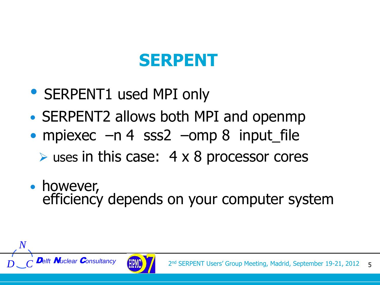## **SERPENT**

- SERPENT1 used MPI only
- SERPENT2 allows both MPI and openmp
- mpiexec –n 4 sss2 –omp 8 input file  $\triangleright$  uses in this case: 4 x 8 processor cores
- however, efficiency depends on your computer system

*D C*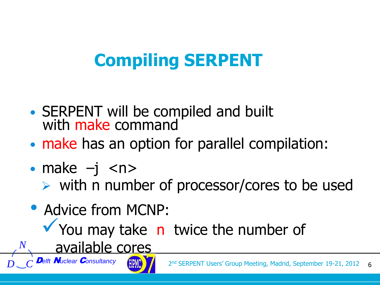# **Compiling SERPENT**

- SERPENT will be compiled and built with make command
- make has an option for parallel compilation:
- make  $-i$   $\langle n \rangle$

*D C*

- $\triangleright$  with n number of processor/cores to be used
- Advice from MCNP:
	- You may take n twice the number of
		- available cores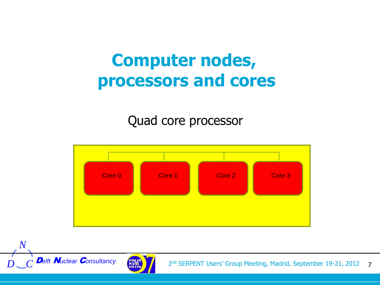#### **Computer nodes, processors and cores**

Quad core processor



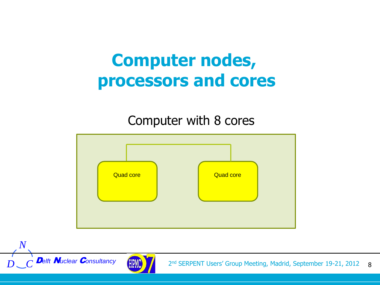#### **Computer nodes, processors and cores**

#### Computer with 8 cores



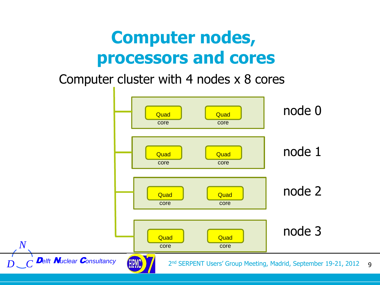#### **Computer nodes, processors and cores**

#### Computer cluster with 4 nodes x 8 cores

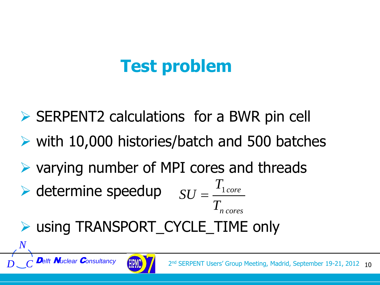# **Test problem**

- $\triangleright$  SERPENT2 calculations for a BWR pin cell
- with 10,000 histories/batch and 500 batches
- varying number of MPI cores and threads **n**<br>**a** BWR pin<br>and 500 bas<br>and threa<br>Francores<br>TME only
- $\blacktriangleright$  determine speedup  $SU = \frac{T_{1core}}{T_{1core}}$  $SU = \frac{1}{\pi}$  $T_{n \text{ cores}}$
- ▶ using TRANSPORT\_CYCLE\_TIME only

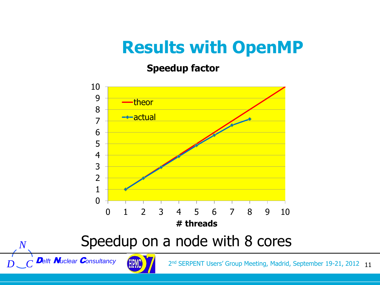## **Results with OpenMP**

**Speedup factor**



*D*<sub>**c**</sub> *C* Delft **N**uclear Consultancy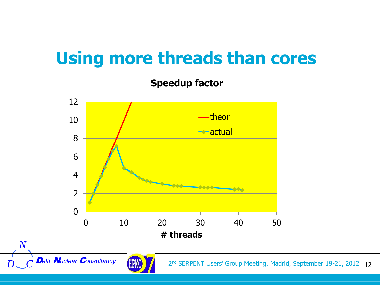## **Using more threads than cores**

**Speedup factor**



*D*<sub>*c*</sub> *D*elft **N**uclear *Consultancy*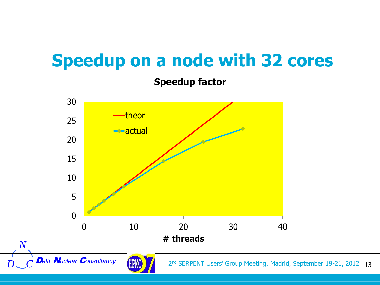## **Speedup on a node with 32 cores**

**Speedup factor**

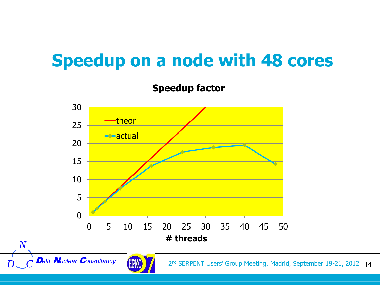## **Speedup on a node with 48 cores**

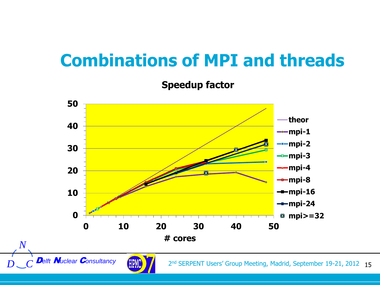## **Combinations of MPI and threads**

**Speedup factor**

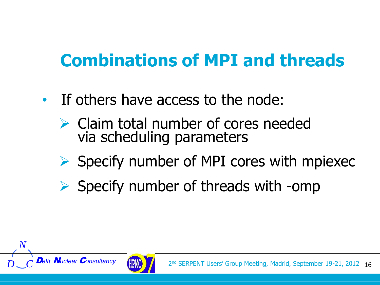# **Combinations of MPI and threads**

- If others have access to the node:
	- $\triangleright$  Claim total number of cores needed via scheduling parameters
	- $\triangleright$  Specify number of MPI cores with mpiexec
	- $\triangleright$  Specify number of threads with -omp

*D C*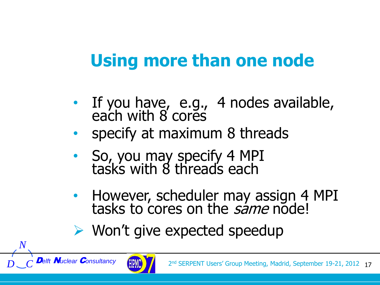# **Using more than one node**

- If you have, e.g., 4 nodes available, each with 8 cores
- specify at maximum 8 threads
- So, you may specify 4 MPI tasks with 8 threads each
- However, scheduler may assign 4 MPI tasks to cores on the same node!
- $\triangleright$  Won't give expected speedup

*D C*

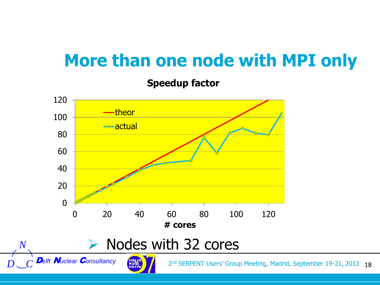#### **More than one node with MPI only**

**Speedup factor**

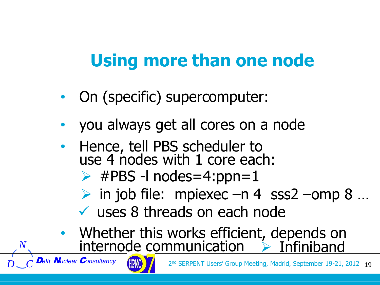# **Using more than one node**

- On (specific) supercomputer:
- you always get all cores on a node
- Hence, tell PBS scheduler to use 4 nodes with 1 core each:
	- $\triangleright$  #PBS -l nodes=4:ppn=1
	- $\triangleright$  in job file: mpiexec –n 4 sss2 –omp 8 ...
	- uses 8 threads on each node
- Whether this works efficient, depends on internode communication  $\rightarrow$  Infiniband

*D C*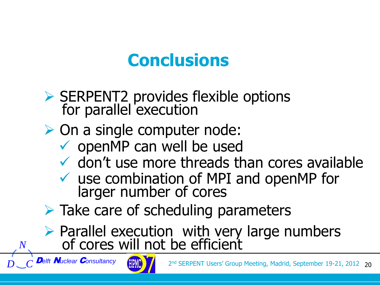### **Conclusions**

- ▶ SERPENT2 provides flexible options for parallel execution
- **► On a single computer node:** 
	- $\checkmark$  openMP can well be used
	- $\checkmark$  don't use more threads than cores available
	- $\checkmark$  use combination of MPI and openMP for larger number of cores
- $\triangleright$  Take care of scheduling parameters
- Parallel execution with very large numbers of cores will not be efficient

*D C*